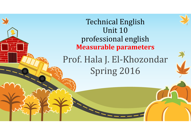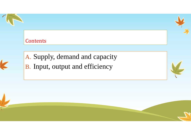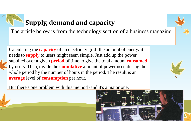## **Supply, demand and capacity**

The article below is from the technology section of a business magazine.

Calculating the **capacity** of an electricity grid -the amount of energy it needs to **supply** to users might seem simple. Just add up the power supplied over a given **period** of time to give the total amount **consumed** by users. Then, divide the **cumulative** amount of power used during the whole period by the number of hours in the period. The result is an **average** level of **consumption** per hour.



But there's one problem with this method -and it's a major one.

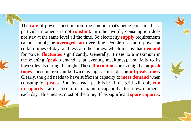The **rate** of power consumption -the amount that's being consumed at <sup>a</sup> particular moment- is not **constant.** In other words, consumption does not stay at the same level all the time. So electricity **supply** requirements cannot simply be **averaged out** over time. People use more power at certain times of day, and less at other times, which means that **demand** for power **fluctuates** significantly. Generally, it rises to <sup>a</sup> maximum in the evening **(peak** demand is at evening mealtimes), and falls to its lowest levels during the night. These **fluctuations** are so big that at **peak times** consumption can be twice as high as it is during **off-peak times.** Clearly, the grid needs to have sufficient capacity to **meet demand** when consumption **peaks.** But since each peak is brief, the grid will only **run to capacity -** at or close to its maximum capability- for <sup>a</sup> few moments each day. This means, most of the time, it has significant **spare capacity.**





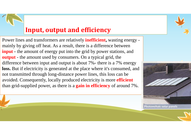## **Input, output and efficiency**

Power lines and transformers are relatively **inefficient,** wasting energy mainly by giving off heat. As a result, there is a difference between **input** - the amount of energy put into the grid by power stations, and **output** - the amount used by consumers. On a typical grid, the difference between input and output is about 7%- there is a 7% energy **loss.** But if electricity is generated at the place where it's consumed, and not transmitted through long-distance power lines, this loss can be avoided. Consequently, locally produced electricity is more **efficient** than grid-supplied power, as there is a **gain in efficiency** of around 7%.

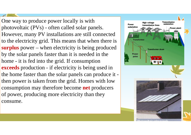One way to produce power locally is with photovoltaic (PVs) - often called solar panels. However, many PV installations are still connected to the electricity grid. This means that when there is **surplus** power – when electricity is being produced by the solar panels faster than it is needed in the home - it is fed into the grid. If consumption **exceeds** production - if electricity is being used in the home faster than the solar panels can produce it then power is taken from the grid. Homes with low consumption may therefore become **net** producers of power, producing more electricity than they consume.

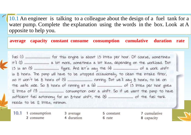10.1 An engineer is talking to a colleague about the design of a fuel tank for a water pump. Complete the explanation using the words in the box. Look at A opposite to help you.

**average capacity constant consume consumption cumulative duration rate** 

it'll (2) ................................. a bit more, sometimes a bit less, depending on the workload. But is 8 hours. The pump will have to be stopped occasionally, to clean the intake filter, needs to be 12 litres, minimum.

1 consumption  $10.1$ 2 consume

3 average 4 duration

5 constant 6 rate

7 cumulative 8 capacity

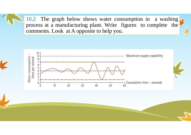10.2 The graph below shows water consumption in <sup>a</sup> washing process at <sup>a</sup> manufacturing plant. Write figures to complete the comments. Look at A opposite to help you.

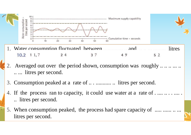

- Water consumption fluctuated between .............. .. and .. .. ... ......... litres 1. $10.2 \quad 11.7$ 3 7  $24$ 49  $5<sub>2</sub>$
- 2.Averaged out over the period shown, consumption was roughly ......... .. ... litres per second.
- 3. Consumption peaked at a rate of .. . ........... .. litres per second.
- 4. If the process ran to capacity, it could use water at a rate of ............. .. litres per second.
- 5. When consumption peaked, the process had spare capacity of ..... ............ litres per second.